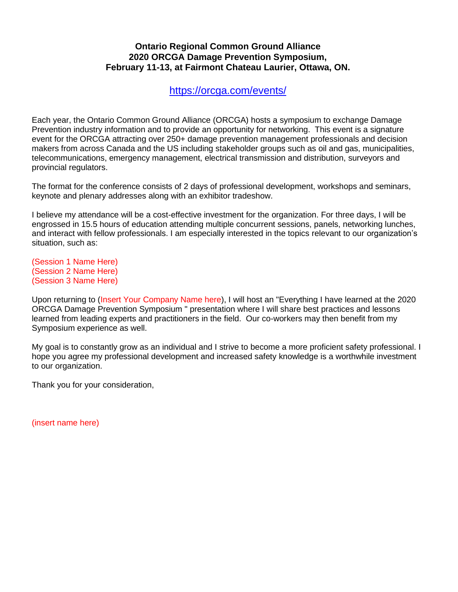## **Ontario Regional Common Ground Alliance 2020 ORCGA Damage Prevention Symposium, February 11-13, at Fairmont Chateau Laurier, Ottawa, ON.**

<https://orcga.com/events/>

Each year, the Ontario Common Ground Alliance (ORCGA) hosts a symposium to exchange Damage Prevention industry information and to provide an opportunity for networking. This event is a signature event for the ORCGA attracting over 250+ damage prevention management professionals and decision makers from across Canada and the US including stakeholder groups such as oil and gas, municipalities, telecommunications, emergency management, electrical transmission and distribution, surveyors and provincial regulators.

The format for the conference consists of 2 days of professional development, workshops and seminars, keynote and plenary addresses along with an exhibitor tradeshow.

I believe my attendance will be a cost-effective investment for the organization. For three days, I will be engrossed in 15.5 hours of education attending multiple concurrent sessions, panels, networking lunches, and interact with fellow professionals. I am especially interested in the topics relevant to our organization's situation, such as:

(Session 1 Name Here) (Session 2 Name Here) (Session 3 Name Here)

Upon returning to (Insert Your Company Name here), I will host an "Everything I have learned at the 2020 ORCGA Damage Prevention Symposium " presentation where I will share best practices and lessons learned from leading experts and practitioners in the field. Our co-workers may then benefit from my Symposium experience as well.

My goal is to constantly grow as an individual and I strive to become a more proficient safety professional. I hope you agree my professional development and increased safety knowledge is a worthwhile investment to our organization.

Thank you for your consideration,

(insert name here)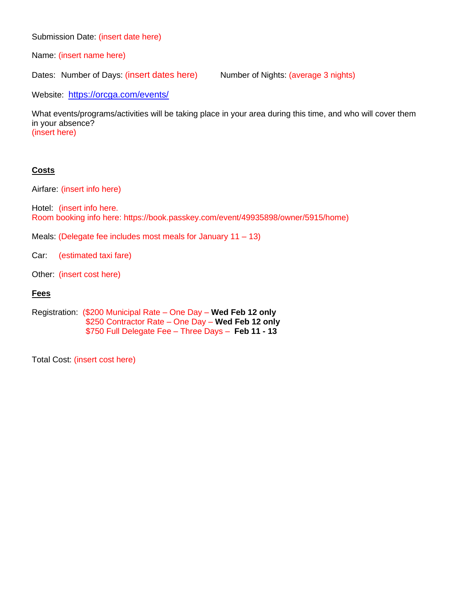Submission Date: (insert date here)

Name: (insert name here)

Dates: Number of Days: (insert dates here) Number of Nights: (average 3 nights)

Website: <https://orcga.com/events/>

What events/programs/activities will be taking place in your area during this time, and who will cover them in your absence? (insert here)

## **Costs**

Airfare: (insert info here)

Hotel: (insert info here. Room booking info here: https://book.passkey.com/event/49935898/owner/5915/home)

- Meals: (Delegate fee includes most meals for January  $11 13$ )
- Car: (estimated taxi fare)
- Other: (insert cost here)

## **Fees**

Registration: (\$200 Municipal Rate – One Day – **Wed Feb 12 only** \$250 Contractor Rate – One Day – **Wed Feb 12 only** \$750 Full Delegate Fee – Three Days – **Feb 11 - 13**

Total Cost: (insert cost here)